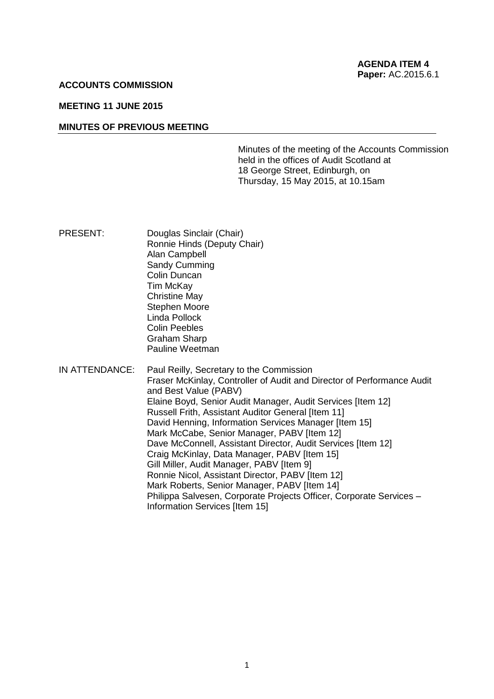### **ACCOUNTS COMMISSION**

### **MEETING 11 JUNE 2015**

#### **MINUTES OF PREVIOUS MEETING**

Minutes of the meeting of the Accounts Commission held in the offices of Audit Scotland at 18 George Street, Edinburgh, on Thursday, 15 May 2015, at 10.15am

- PRESENT: Douglas Sinclair (Chair) Ronnie Hinds (Deputy Chair) Alan Campbell Sandy Cumming Colin Duncan Tim McKay Christine May Stephen Moore Linda Pollock Colin Peebles Graham Sharp Pauline Weetman
- IN ATTENDANCE: Paul Reilly, Secretary to the Commission Fraser McKinlay, Controller of Audit and Director of Performance Audit and Best Value (PABV) Elaine Boyd, Senior Audit Manager, Audit Services [Item 12] Russell Frith, Assistant Auditor General [Item 11] David Henning, Information Services Manager [Item 15] Mark McCabe, Senior Manager, PABV IItem 121 Dave McConnell, Assistant Director, Audit Services [Item 12] Craig McKinlay, Data Manager, PABV [Item 15] Gill Miller, Audit Manager, PABV [Item 9] Ronnie Nicol, Assistant Director, PABV [Item 12] Mark Roberts, Senior Manager, PABV [Item 14] Philippa Salvesen, Corporate Projects Officer, Corporate Services – Information Services [Item 15]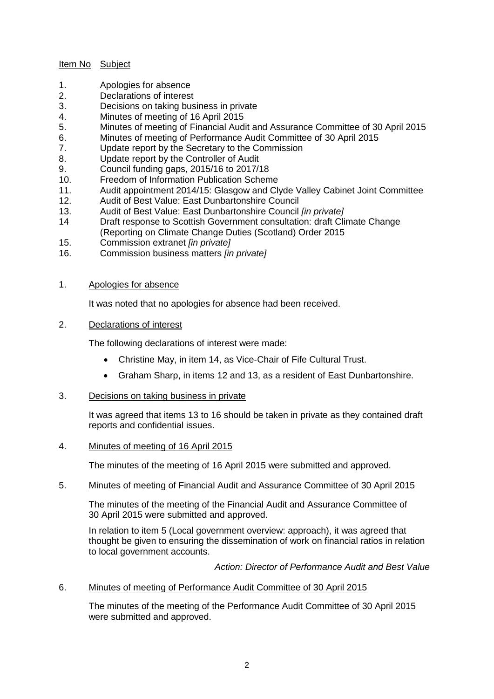## Item No Subject

- 1. Apologies for absence
- 2. Declarations of interest
- 3. Decisions on taking business in private
- 4. Minutes of meeting of 16 April 2015
- 5. Minutes of meeting of Financial Audit and Assurance Committee of 30 April 2015
- 6. Minutes of meeting of Performance Audit Committee of 30 April 2015
- 7. Update report by the Secretary to the Commission
- 8. Update report by the Controller of Audit
- 9. Council funding gaps, 2015/16 to 2017/18
- 10. Freedom of Information Publication Scheme
- 11. Audit appointment 2014/15: Glasgow and Clyde Valley Cabinet Joint Committee
- 12. Audit of Best Value: East Dunbartonshire Council
- 13. Audit of Best Value: East Dunbartonshire Council *[in private]*
- 14 Draft response to Scottish Government consultation: draft Climate Change (Reporting on Climate Change Duties (Scotland) Order 2015
- 15. Commission extranet *[in private]*
- 16. Commission business matters *[in private]*

## 1. Apologies for absence

It was noted that no apologies for absence had been received.

# 2. Declarations of interest

The following declarations of interest were made:

- Christine May, in item 14, as Vice-Chair of Fife Cultural Trust.
- Graham Sharp, in items 12 and 13, as a resident of East Dunbartonshire.
- 3. Decisions on taking business in private

It was agreed that items 13 to 16 should be taken in private as they contained draft reports and confidential issues.

## 4. Minutes of meeting of 16 April 2015

The minutes of the meeting of 16 April 2015 were submitted and approved.

## 5. Minutes of meeting of Financial Audit and Assurance Committee of 30 April 2015

The minutes of the meeting of the Financial Audit and Assurance Committee of 30 April 2015 were submitted and approved.

In relation to item 5 (Local government overview: approach), it was agreed that thought be given to ensuring the dissemination of work on financial ratios in relation to local government accounts.

*Action: Director of Performance Audit and Best Value*

## 6. Minutes of meeting of Performance Audit Committee of 30 April 2015

The minutes of the meeting of the Performance Audit Committee of 30 April 2015 were submitted and approved.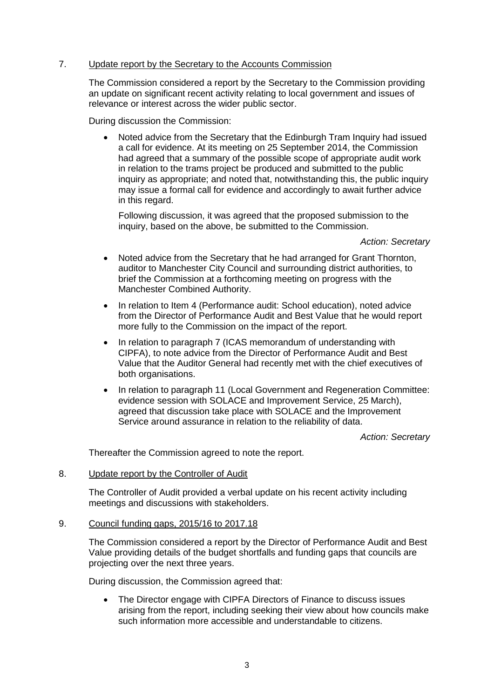## 7. Update report by the Secretary to the Accounts Commission

The Commission considered a report by the Secretary to the Commission providing an update on significant recent activity relating to local government and issues of relevance or interest across the wider public sector.

During discussion the Commission:

 Noted advice from the Secretary that the Edinburgh Tram Inquiry had issued a call for evidence. At its meeting on 25 September 2014, the Commission had agreed that a summary of the possible scope of appropriate audit work in relation to the trams project be produced and submitted to the public inquiry as appropriate; and noted that, notwithstanding this, the public inquiry may issue a formal call for evidence and accordingly to await further advice in this regard.

Following discussion, it was agreed that the proposed submission to the inquiry, based on the above, be submitted to the Commission.

### *Action: Secretary*

- Noted advice from the Secretary that he had arranged for Grant Thornton, auditor to Manchester City Council and surrounding district authorities, to brief the Commission at a forthcoming meeting on progress with the Manchester Combined Authority.
- In relation to Item 4 (Performance audit: School education), noted advice from the Director of Performance Audit and Best Value that he would report more fully to the Commission on the impact of the report.
- In relation to paragraph 7 (ICAS memorandum of understanding with CIPFA), to note advice from the Director of Performance Audit and Best Value that the Auditor General had recently met with the chief executives of both organisations.
- In relation to paragraph 11 (Local Government and Regeneration Committee: evidence session with SOLACE and Improvement Service, 25 March), agreed that discussion take place with SOLACE and the Improvement Service around assurance in relation to the reliability of data.

*Action: Secretary*

Thereafter the Commission agreed to note the report.

## 8. Update report by the Controller of Audit

The Controller of Audit provided a verbal update on his recent activity including meetings and discussions with stakeholders.

### 9. Council funding gaps, 2015/16 to 2017.18

The Commission considered a report by the Director of Performance Audit and Best Value providing details of the budget shortfalls and funding gaps that councils are projecting over the next three years.

During discussion, the Commission agreed that:

• The Director engage with CIPFA Directors of Finance to discuss issues arising from the report, including seeking their view about how councils make such information more accessible and understandable to citizens.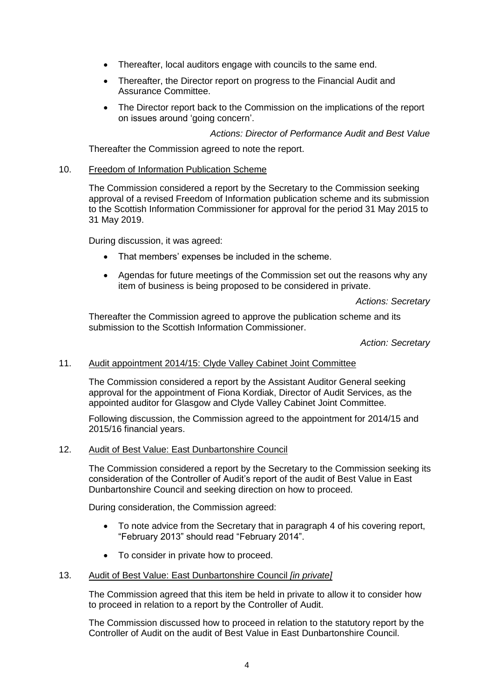- Thereafter, local auditors engage with councils to the same end.
- Thereafter, the Director report on progress to the Financial Audit and Assurance Committee.
- The Director report back to the Commission on the implications of the report on issues around 'going concern'.

*Actions: Director of Performance Audit and Best Value*

Thereafter the Commission agreed to note the report.

### 10. Freedom of Information Publication Scheme

The Commission considered a report by the Secretary to the Commission seeking approval of a revised Freedom of Information publication scheme and its submission to the Scottish Information Commissioner for approval for the period 31 May 2015 to 31 May 2019.

During discussion, it was agreed:

- That members' expenses be included in the scheme.
- Agendas for future meetings of the Commission set out the reasons why any item of business is being proposed to be considered in private.

*Actions: Secretary*

Thereafter the Commission agreed to approve the publication scheme and its submission to the Scottish Information Commissioner.

*Action: Secretary*

## 11. Audit appointment 2014/15: Clyde Valley Cabinet Joint Committee

The Commission considered a report by the Assistant Auditor General seeking approval for the appointment of Fiona Kordiak, Director of Audit Services, as the appointed auditor for Glasgow and Clyde Valley Cabinet Joint Committee.

Following discussion, the Commission agreed to the appointment for 2014/15 and 2015/16 financial years.

### 12. Audit of Best Value: East Dunbartonshire Council

The Commission considered a report by the Secretary to the Commission seeking its consideration of the Controller of Audit's report of the audit of Best Value in East Dunbartonshire Council and seeking direction on how to proceed.

During consideration, the Commission agreed:

- To note advice from the Secretary that in paragraph 4 of his covering report, "February 2013" should read "February 2014".
- To consider in private how to proceed.

### 13. Audit of Best Value: East Dunbartonshire Council *[in private]*

The Commission agreed that this item be held in private to allow it to consider how to proceed in relation to a report by the Controller of Audit.

The Commission discussed how to proceed in relation to the statutory report by the Controller of Audit on the audit of Best Value in East Dunbartonshire Council.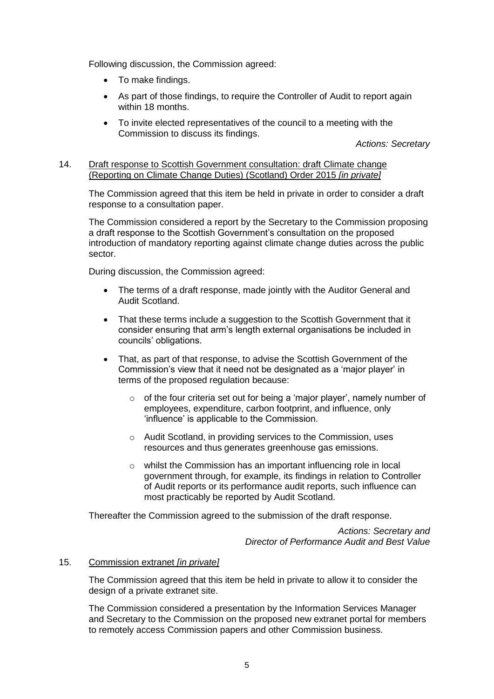Following discussion, the Commission agreed:

- To make findings.
- As part of those findings, to require the Controller of Audit to report again within 18 months.
- To invite elected representatives of the council to a meeting with the Commission to discuss its findings.

*Actions: Secretary*

# 14. Draft response to Scottish Government consultation: draft Climate change (Reporting on Climate Change Duties) (Scotland) Order 2015 *[in private]*

The Commission agreed that this item be held in private in order to consider a draft response to a consultation paper.

The Commission considered a report by the Secretary to the Commission proposing a draft response to the Scottish Government's consultation on the proposed introduction of mandatory reporting against climate change duties across the public sector.

During discussion, the Commission agreed:

- The terms of a draft response, made jointly with the Auditor General and Audit Scotland.
- That these terms include a suggestion to the Scottish Government that it consider ensuring that arm's length external organisations be included in councils' obligations.
- That, as part of that response, to advise the Scottish Government of the Commission's view that it need not be designated as a 'major player' in terms of the proposed regulation because:
	- $\circ$  of the four criteria set out for being a 'major player', namely number of employees, expenditure, carbon footprint, and influence, only 'influence' is applicable to the Commission.
	- o Audit Scotland, in providing services to the Commission, uses resources and thus generates greenhouse gas emissions.
	- o whilst the Commission has an important influencing role in local government through, for example, its findings in relation to Controller of Audit reports or its performance audit reports, such influence can most practicably be reported by Audit Scotland.

Thereafter the Commission agreed to the submission of the draft response.

*Actions: Secretary and Director of Performance Audit and Best Value*

## 15. Commission extranet *[in private]*

The Commission agreed that this item be held in private to allow it to consider the design of a private extranet site.

The Commission considered a presentation by the Information Services Manager and Secretary to the Commission on the proposed new extranet portal for members to remotely access Commission papers and other Commission business.